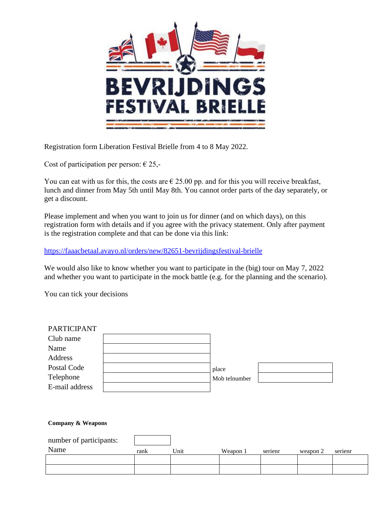

Registration form Liberation Festival Brielle from 4 to 8 May 2022.

Cost of participation per person:  $\epsilon$  25,-

You can eat with us for this, the costs are  $\epsilon$  25.00 pp. and for this you will receive breakfast, lunch and dinner from May 5th until May 8th. You cannot order parts of the day separately, or get a discount.

Please implement and when you want to join us for dinner (and on which days), on this registration form with details and if you agree with the privacy statement. Only after payment is the registration complete and that can be done via this link:

<https://faaacbetaal.avayo.nl/orders/new/82651-bevrijdingsfestival-brielle>

We would also like to know whether you want to participate in the (big) tour on May 7, 2022 and whether you want to participate in the mock battle (e.g. for the planning and the scenario).

You can tick your decisions

| <b>PARTICIPANT</b> |               |  |
|--------------------|---------------|--|
| Club name          |               |  |
| Name               |               |  |
| Address            |               |  |
| Postal Code        | place         |  |
| Telephone          | Mob telnumber |  |
| E-mail address     |               |  |

| <b>Company &amp; Weapons</b> |      |      |          |         |          |         |
|------------------------------|------|------|----------|---------|----------|---------|
| number of participants:      |      |      |          |         |          |         |
| Name                         | rank | Unit | Weapon 1 | serienr | weapon 2 | serienr |
|                              |      |      |          |         |          |         |
|                              |      |      |          |         |          |         |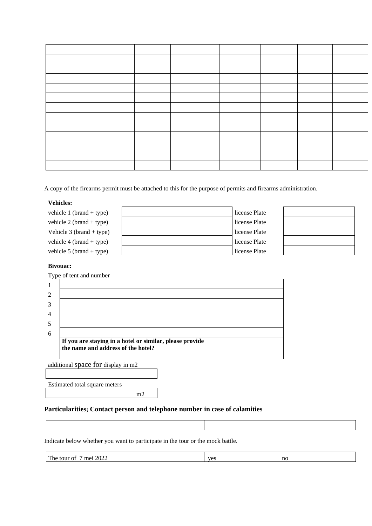A copy of the firearms permit must be attached to this for the purpose of permits and firearms administration.

## **Vehicles:**

| license Plate<br>vehicle 2 (brand + type)   |  |
|---------------------------------------------|--|
| license Plate<br>Vehicle $3$ (brand + type) |  |
| license Plate<br>vehicle 4 (brand + type)   |  |
| license Plate<br>vehicle 5 (brand + type)   |  |

## **Bivouac:**

|   | Type of tent and number                                  |  |
|---|----------------------------------------------------------|--|
|   |                                                          |  |
|   |                                                          |  |
|   |                                                          |  |
|   |                                                          |  |
|   |                                                          |  |
| 6 |                                                          |  |
|   | If you are staying in a hotel or similar, please provide |  |
|   | the name and address of the hotel?                       |  |
|   |                                                          |  |

additional space for display in m2

Estimated total square meters

m2

## **Particularities; Contact person and telephone number in case of calamities**

Indicate below whether you want to participate in the tour or the mock battle.

| 2022<br>T11<br>me:<br>tour.<br>r he<br>Ωt | TAC<br>ືບນ | nc |
|-------------------------------------------|------------|----|
|                                           |            |    |